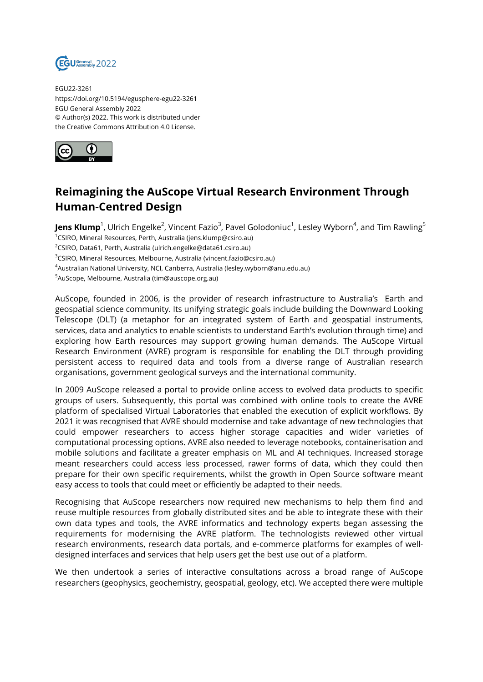

EGU22-3261 https://doi.org/10.5194/egusphere-egu22-3261 EGU General Assembly 2022 © Author(s) 2022. This work is distributed under the Creative Commons Attribution 4.0 License.



## **Reimagining the AuScope Virtual Research Environment Through Human-Centred Design**

**Jens Klump**<sup>1</sup>, Ulrich Engelke<sup>2</sup>, Vincent Fazio<sup>3</sup>, Pavel Golodoniuc<sup>1</sup>, Lesley Wyborn<sup>4</sup>, and Tim Rawling<sup>5</sup>

<sup>1</sup>CSIRO, Mineral Resources, Perth, Australia (jens.klump@csiro.au)

<sup>2</sup>CSIRO, Data61, Perth, Australia (ulrich.engelke@data61.csiro.au)

<sup>3</sup>CSIRO, Mineral Resources, Melbourne, Australia (vincent.fazio@csiro.au)

<sup>4</sup>Australian National University, NCI, Canberra, Australia (lesley.wyborn@anu.edu.au)

<sup>5</sup>AuScope, Melbourne, Australia (tim@auscope.org.au)

AuScope, founded in 2006, is the provider of research infrastructure to Australia's Earth and geospatial science community. Its unifying strategic goals include building the Downward Looking Telescope (DLT) (a metaphor for an integrated system of Earth and geospatial instruments, services, data and analytics to enable scientists to understand Earth's evolution through time) and exploring how Earth resources may support growing human demands. The AuScope Virtual Research Environment (AVRE) program is responsible for enabling the DLT through providing persistent access to required data and tools from a diverse range of Australian research organisations, government geological surveys and the international community.

In 2009 AuScope released a portal to provide online access to evolved data products to specific groups of users. Subsequently, this portal was combined with online tools to create the AVRE platform of specialised Virtual Laboratories that enabled the execution of explicit workflows. By 2021 it was recognised that AVRE should modernise and take advantage of new technologies that could empower researchers to access higher storage capacities and wider varieties of computational processing options. AVRE also needed to leverage notebooks, containerisation and mobile solutions and facilitate a greater emphasis on ML and AI techniques. Increased storage meant researchers could access less processed, rawer forms of data, which they could then prepare for their own specific requirements, whilst the growth in Open Source software meant easy access to tools that could meet or efficiently be adapted to their needs.

Recognising that AuScope researchers now required new mechanisms to help them find and reuse multiple resources from globally distributed sites and be able to integrate these with their own data types and tools, the AVRE informatics and technology experts began assessing the requirements for modernising the AVRE platform. The technologists reviewed other virtual research environments, research data portals, and e-commerce platforms for examples of welldesigned interfaces and services that help users get the best use out of a platform.

We then undertook a series of interactive consultations across a broad range of AuScope researchers (geophysics, geochemistry, geospatial, geology, etc). We accepted there were multiple